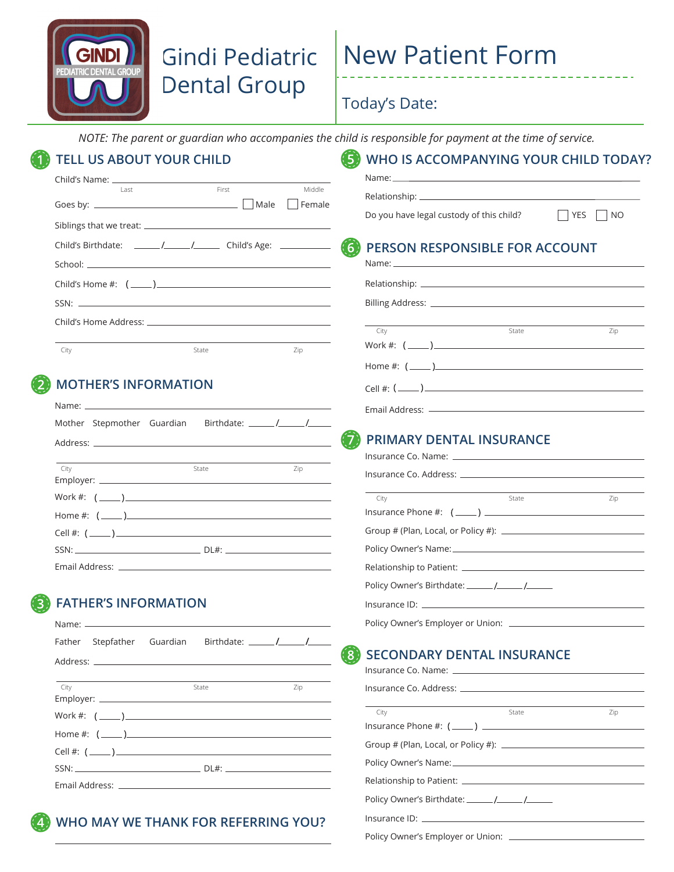

## Gindi Pediatric Dental Group

# New Patient Form

#### Today's Date:

*NOTE: The parent or guardian who accompanies the child is responsible for payment at the time of service.*

| l ast                                                               | First            | Middle |                                                                              |
|---------------------------------------------------------------------|------------------|--------|------------------------------------------------------------------------------|
|                                                                     |                  |        |                                                                              |
|                                                                     |                  |        | Do you have legal custody of this child?<br>$\Box$ YES<br>$\vert$ $\vert$ NO |
| Child's Birthdate: _____/_____/__________ Child's Age: ____________ |                  |        | PERSON RESPONSIBLE FOR ACCOUNT<br>(6)                                        |
|                                                                     |                  |        |                                                                              |
|                                                                     |                  |        |                                                                              |
|                                                                     |                  |        |                                                                              |
|                                                                     |                  |        |                                                                              |
|                                                                     |                  |        | City<br>State<br>Zip                                                         |
| City                                                                | State            | Zip    | Work #: $(\_\_)$                                                             |
|                                                                     |                  |        | Home #: $(\_\_)$                                                             |
| <b>MOTHER'S INFORMATION</b>                                         |                  |        | Cell #: $(\_\_)$                                                             |
|                                                                     |                  |        |                                                                              |
|                                                                     |                  |        |                                                                              |
|                                                                     |                  |        | <b>PRIMARY DENTAL INSURANCE</b>                                              |
| City                                                                | State            | Zip    |                                                                              |
|                                                                     |                  |        |                                                                              |
|                                                                     |                  |        | City<br>State<br>Zip                                                         |
| Home #: $(\_\_)$                                                    |                  |        | $Insurance Phone #: (________ )$                                             |
|                                                                     |                  |        |                                                                              |
|                                                                     |                  |        |                                                                              |
|                                                                     |                  |        |                                                                              |
|                                                                     |                  |        |                                                                              |
| <b>FATHER'S INFORMATION</b>                                         |                  |        |                                                                              |
|                                                                     |                  |        |                                                                              |
| Father Stepfather<br>Guardian                                       |                  |        | (8)<br><b>SECONDARY DENTAL INSURANCE</b>                                     |
|                                                                     |                  |        |                                                                              |
| City                                                                | State            | Zip    |                                                                              |
|                                                                     |                  |        | City<br>State<br>Zip                                                         |
| Work #: $(\_\_)$                                                    |                  |        |                                                                              |
|                                                                     | Home #: $(\_\_)$ |        |                                                                              |
|                                                                     |                  |        |                                                                              |
|                                                                     |                  |        |                                                                              |
|                                                                     |                  |        |                                                                              |

Policy Owner's Employer or Union: